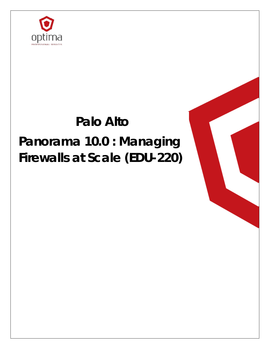

## **Palo Alto**

# **Panorama 10.0 : Managing Firewalls at Scale (EDU-220)**

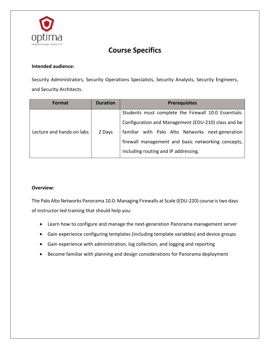

### **Course Specifics**

#### **Intended audience:**

Security Administrators, Security Operations Specialists, Security Analysts, Security Engineers, and Security Architects.

| <b>Format</b>             | <b>Duration</b> | <b>Prerequisites</b>                                 |
|---------------------------|-----------------|------------------------------------------------------|
| Lecture and hands-on labs | 2 Days          | Students must complete the Firewall 10.0 Essentials: |
|                           |                 | Configuration and Management (EDU-210) class and be  |
|                           |                 | familiar with Palo Alto Networks next-generation     |
|                           |                 | firewall management and basic networking concepts,   |
|                           |                 | including routing and IP addressing.                 |

#### **Overview:**

The Palo Alto Networks Panorama 10.0: Managing Firewalls at Scale (EDU-220) course is two days of instructor-led training that should help you:

- Learn how to configure and manage the next-generation Panorama management server
- Gain experience configuring templates (including template variables) and device groups
- Gain experience with administration, log collection, and logging and reporting
- Become familiar with planning and design considerations for Panorama deployment